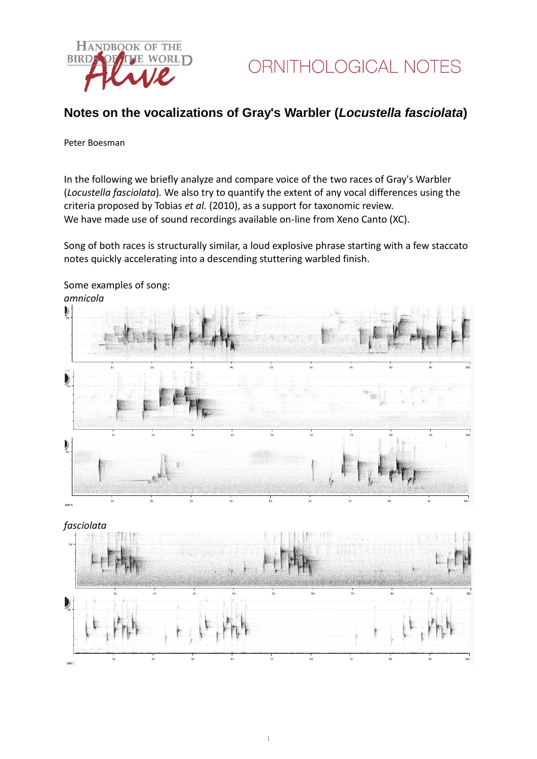

## **Notes on the vocalizations of Gray's Warbler (***Locustella fasciolata***)**

## Peter Boesman

In the following we briefly analyze and compare voice of the two races of Gray's Warbler (*Locustella fasciolata*)*.* We also try to quantify the extent of any vocal differences using the criteria proposed by Tobias *et al.* (2010), as a support for taxonomic review. We have made use of sound recordings available on-line from Xeno Canto (XC).

Song of both races is structurally similar, a loud explosive phrase starting with a few staccato notes quickly accelerating into a descending stuttering warbled finish.